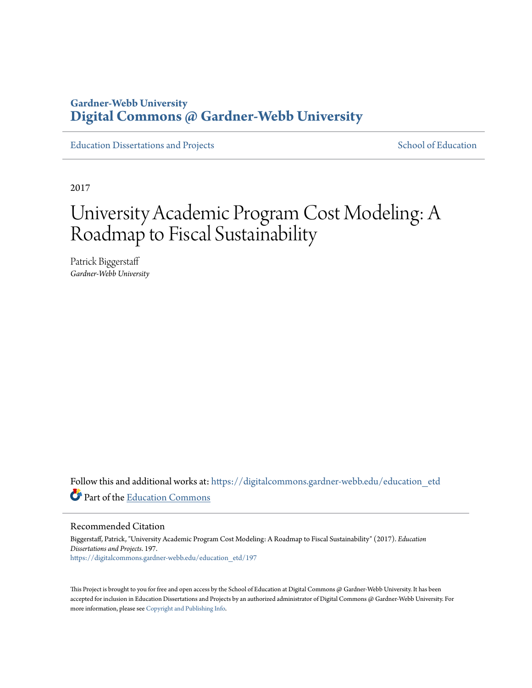# **Gardner-Webb University [Digital Commons @ Gardner-Webb University](https://digitalcommons.gardner-webb.edu?utm_source=digitalcommons.gardner-webb.edu%2Feducation_etd%2F197&utm_medium=PDF&utm_campaign=PDFCoverPages)**

[Education Dissertations and Projects](https://digitalcommons.gardner-webb.edu/education_etd?utm_source=digitalcommons.gardner-webb.edu%2Feducation_etd%2F197&utm_medium=PDF&utm_campaign=PDFCoverPages) [School of Education](https://digitalcommons.gardner-webb.edu/education?utm_source=digitalcommons.gardner-webb.edu%2Feducation_etd%2F197&utm_medium=PDF&utm_campaign=PDFCoverPages)

2017

# University Academic Program Cost Modeling: A Roadmap to Fiscal Sustainability

Patrick Biggerstaff *Gardner-Webb University*

Follow this and additional works at: [https://digitalcommons.gardner-webb.edu/education\\_etd](https://digitalcommons.gardner-webb.edu/education_etd?utm_source=digitalcommons.gardner-webb.edu%2Feducation_etd%2F197&utm_medium=PDF&utm_campaign=PDFCoverPages) Part of the [Education Commons](http://network.bepress.com/hgg/discipline/784?utm_source=digitalcommons.gardner-webb.edu%2Feducation_etd%2F197&utm_medium=PDF&utm_campaign=PDFCoverPages)

Recommended Citation

Biggerstaff, Patrick, "University Academic Program Cost Modeling: A Roadmap to Fiscal Sustainability" (2017). *Education Dissertations and Projects*. 197. [https://digitalcommons.gardner-webb.edu/education\\_etd/197](https://digitalcommons.gardner-webb.edu/education_etd/197?utm_source=digitalcommons.gardner-webb.edu%2Feducation_etd%2F197&utm_medium=PDF&utm_campaign=PDFCoverPages)

This Project is brought to you for free and open access by the School of Education at Digital Commons @ Gardner-Webb University. It has been accepted for inclusion in Education Dissertations and Projects by an authorized administrator of Digital Commons @ Gardner-Webb University. For more information, please see [Copyright and Publishing Info](https://digitalcommons.gardner-webb.edu/copyright_publishing.html).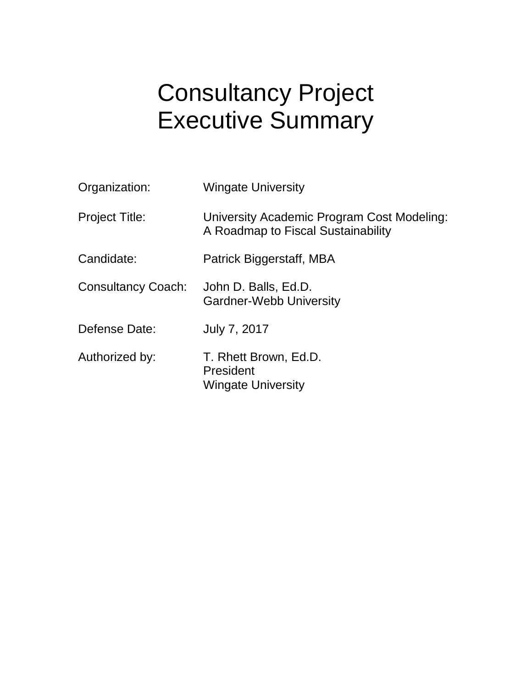# Consultancy Project Executive Summary

| Organization:             | <b>Wingate University</b>                                                        |
|---------------------------|----------------------------------------------------------------------------------|
| <b>Project Title:</b>     | University Academic Program Cost Modeling:<br>A Roadmap to Fiscal Sustainability |
| Candidate:                | Patrick Biggerstaff, MBA                                                         |
| <b>Consultancy Coach:</b> | John D. Balls, Ed.D.<br><b>Gardner-Webb University</b>                           |
| Defense Date:             | July 7, 2017                                                                     |
| Authorized by:            | T. Rhett Brown, Ed.D.<br>President<br><b>Wingate University</b>                  |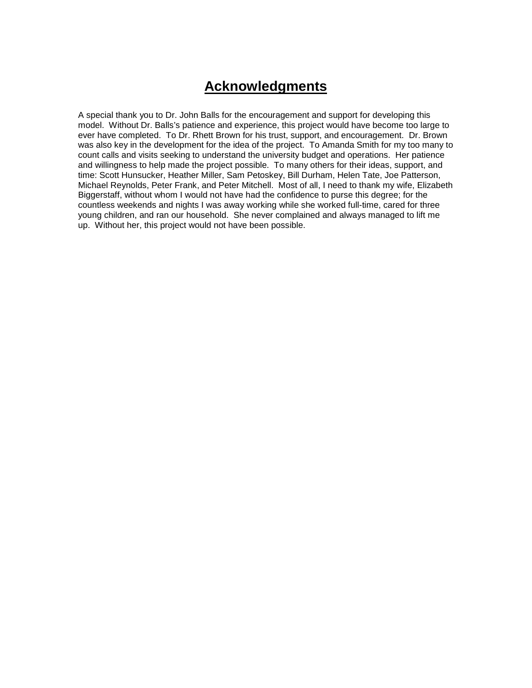# **Acknowledgments**

A special thank you to Dr. John Balls for the encouragement and support for developing this model. Without Dr. Balls's patience and experience, this project would have become too large to ever have completed. To Dr. Rhett Brown for his trust, support, and encouragement. Dr. Brown was also key in the development for the idea of the project. To Amanda Smith for my too many to count calls and visits seeking to understand the university budget and operations. Her patience and willingness to help made the project possible. To many others for their ideas, support, and time: Scott Hunsucker, Heather Miller, Sam Petoskey, Bill Durham, Helen Tate, Joe Patterson, Michael Reynolds, Peter Frank, and Peter Mitchell. Most of all, I need to thank my wife, Elizabeth Biggerstaff, without whom I would not have had the confidence to purse this degree; for the countless weekends and nights I was away working while she worked full-time, cared for three young children, and ran our household. She never complained and always managed to lift me up. Without her, this project would not have been possible.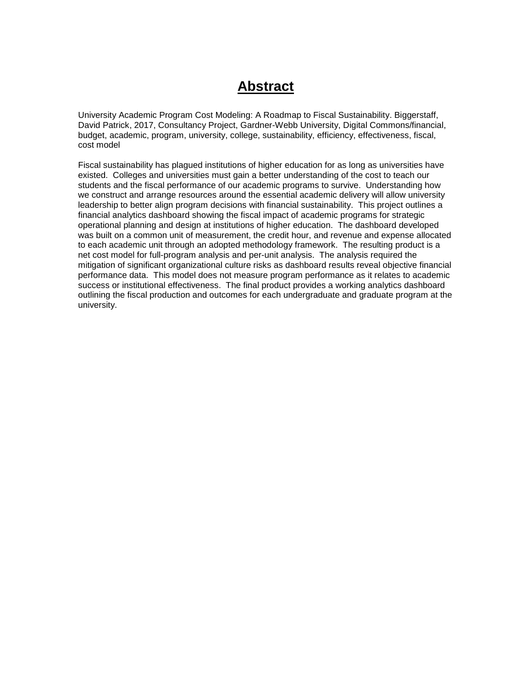# **Abstract**

University Academic Program Cost Modeling: A Roadmap to Fiscal Sustainability. Biggerstaff, David Patrick, 2017, Consultancy Project, Gardner-Webb University, Digital Commons/financial, budget, academic, program, university, college, sustainability, efficiency, effectiveness, fiscal, cost model

Fiscal sustainability has plagued institutions of higher education for as long as universities have existed. Colleges and universities must gain a better understanding of the cost to teach our students and the fiscal performance of our academic programs to survive. Understanding how we construct and arrange resources around the essential academic delivery will allow university leadership to better align program decisions with financial sustainability. This project outlines a financial analytics dashboard showing the fiscal impact of academic programs for strategic operational planning and design at institutions of higher education. The dashboard developed was built on a common unit of measurement, the credit hour, and revenue and expense allocated to each academic unit through an adopted methodology framework. The resulting product is a net cost model for full-program analysis and per-unit analysis. The analysis required the mitigation of significant organizational culture risks as dashboard results reveal objective financial performance data. This model does not measure program performance as it relates to academic success or institutional effectiveness. The final product provides a working analytics dashboard outlining the fiscal production and outcomes for each undergraduate and graduate program at the university.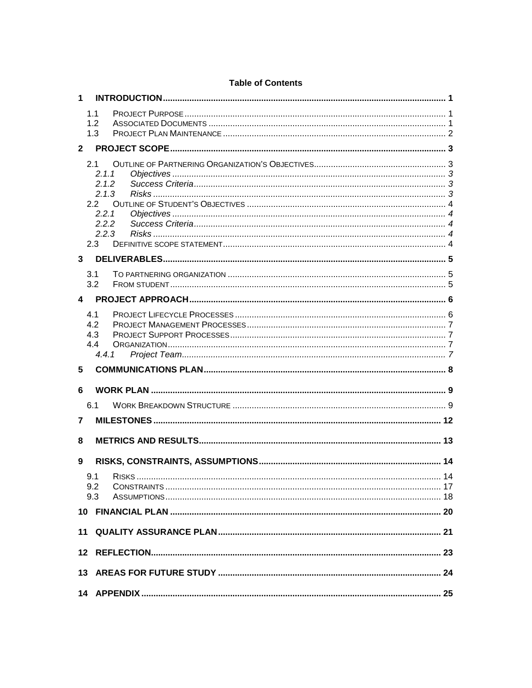| $\mathbf 1$    |                |    |  |
|----------------|----------------|----|--|
|                | 1.1            |    |  |
|                | 1.2            |    |  |
|                | 1.3            |    |  |
| $\overline{2}$ |                |    |  |
|                | 2.1<br>2.1.1   |    |  |
|                | 2.1.2<br>2.1.3 |    |  |
|                | 2.2            |    |  |
|                | 2.2.1<br>2.2.2 |    |  |
|                | 2.2.3          |    |  |
|                | 2.3            |    |  |
| 3              |                |    |  |
|                | 3.1<br>3.2     |    |  |
| 4              |                |    |  |
|                | 4.1            |    |  |
|                | 4.2<br>4.3     |    |  |
|                | 4.4            |    |  |
|                | 4.4.1          |    |  |
| 5              |                |    |  |
| 6              |                |    |  |
|                | 6.1            |    |  |
| 7              |                |    |  |
| 8              |                |    |  |
| 9              |                |    |  |
|                | 9.1<br>9.2     | 14 |  |
|                | 9.3            |    |  |
|                |                |    |  |
|                |                |    |  |
|                |                |    |  |
|                |                |    |  |
|                |                |    |  |

### **Table of Contents**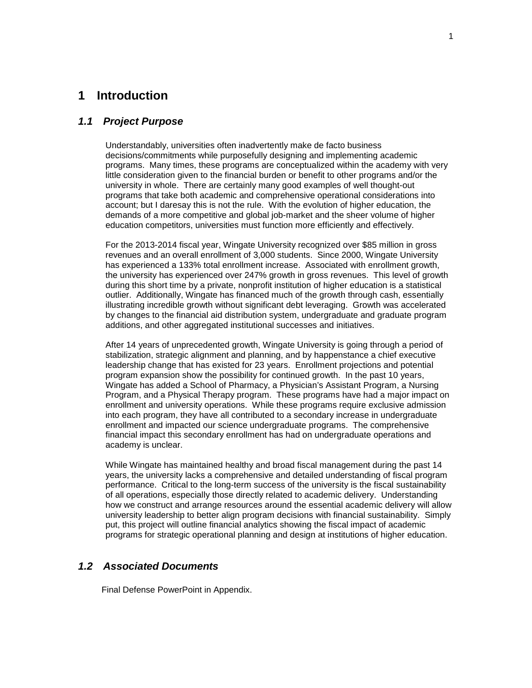### <span id="page-5-0"></span>**1 Introduction**

#### <span id="page-5-1"></span>*1.1 Project Purpose*

Understandably, universities often inadvertently make de facto business decisions/commitments while purposefully designing and implementing academic programs. Many times, these programs are conceptualized within the academy with very little consideration given to the financial burden or benefit to other programs and/or the university in whole. There are certainly many good examples of well thought-out programs that take both academic and comprehensive operational considerations into account; but I daresay this is not the rule. With the evolution of higher education, the demands of a more competitive and global job-market and the sheer volume of higher education competitors, universities must function more efficiently and effectively.

For the 2013-2014 fiscal year, Wingate University recognized over \$85 million in gross revenues and an overall enrollment of 3,000 students. Since 2000, Wingate University has experienced a 133% total enrollment increase. Associated with enrollment growth, the university has experienced over 247% growth in gross revenues. This level of growth during this short time by a private, nonprofit institution of higher education is a statistical outlier. Additionally, Wingate has financed much of the growth through cash, essentially illustrating incredible growth without significant debt leveraging. Growth was accelerated by changes to the financial aid distribution system, undergraduate and graduate program additions, and other aggregated institutional successes and initiatives.

After 14 years of unprecedented growth, Wingate University is going through a period of stabilization, strategic alignment and planning, and by happenstance a chief executive leadership change that has existed for 23 years. Enrollment projections and potential program expansion show the possibility for continued growth. In the past 10 years, Wingate has added a School of Pharmacy, a Physician's Assistant Program, a Nursing Program, and a Physical Therapy program. These programs have had a major impact on enrollment and university operations. While these programs require exclusive admission into each program, they have all contributed to a secondary increase in undergraduate enrollment and impacted our science undergraduate programs. The comprehensive financial impact this secondary enrollment has had on undergraduate operations and academy is unclear.

While Wingate has maintained healthy and broad fiscal management during the past 14 years, the university lacks a comprehensive and detailed understanding of fiscal program performance. Critical to the long-term success of the university is the fiscal sustainability of all operations, especially those directly related to academic delivery. Understanding how we construct and arrange resources around the essential academic delivery will allow university leadership to better align program decisions with financial sustainability. Simply put, this project will outline financial analytics showing the fiscal impact of academic programs for strategic operational planning and design at institutions of higher education.

#### <span id="page-5-2"></span>*1.2 Associated Documents*

Final Defense PowerPoint in Appendix.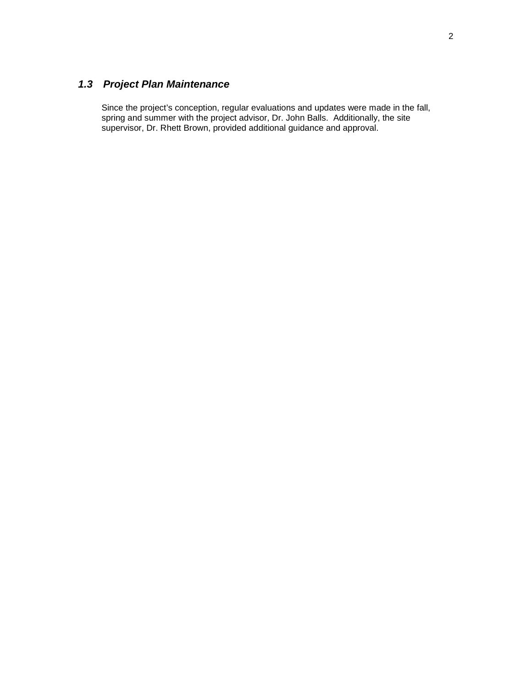# <span id="page-6-0"></span>*1.3 Project Plan Maintenance*

Since the project's conception, regular evaluations and updates were made in the fall, spring and summer with the project advisor, Dr. John Balls. Additionally, the site supervisor, Dr. Rhett Brown, provided additional guidance and approval.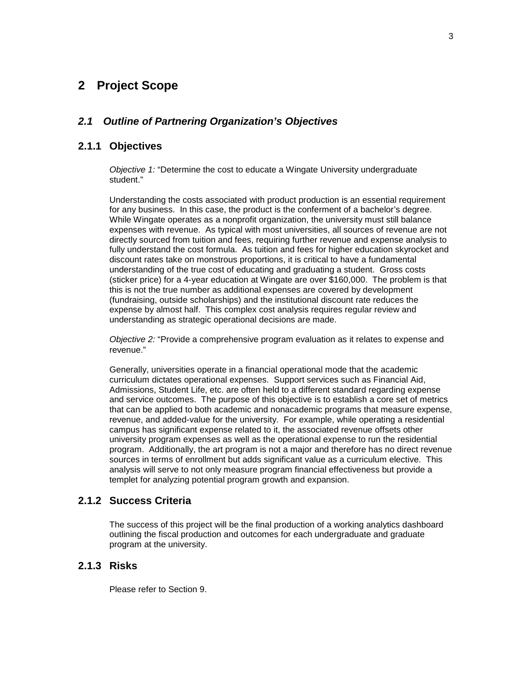# <span id="page-7-0"></span>**2 Project Scope**

#### <span id="page-7-1"></span>*2.1 Outline of Partnering Organization's Objectives*

#### <span id="page-7-2"></span>**2.1.1 Objectives**

*Objective 1:* "Determine the cost to educate a Wingate University undergraduate student."

Understanding the costs associated with product production is an essential requirement for any business. In this case, the product is the conferment of a bachelor's degree. While Wingate operates as a nonprofit organization, the university must still balance expenses with revenue. As typical with most universities, all sources of revenue are not directly sourced from tuition and fees, requiring further revenue and expense analysis to fully understand the cost formula. As tuition and fees for higher education skyrocket and discount rates take on monstrous proportions, it is critical to have a fundamental understanding of the true cost of educating and graduating a student. Gross costs (sticker price) for a 4-year education at Wingate are over \$160,000. The problem is that this is not the true number as additional expenses are covered by development (fundraising, outside scholarships) and the institutional discount rate reduces the expense by almost half. This complex cost analysis requires regular review and understanding as strategic operational decisions are made.

*Objective 2:* "Provide a comprehensive program evaluation as it relates to expense and revenue."

Generally, universities operate in a financial operational mode that the academic curriculum dictates operational expenses. Support services such as Financial Aid, Admissions, Student Life, etc. are often held to a different standard regarding expense and service outcomes. The purpose of this objective is to establish a core set of metrics that can be applied to both academic and nonacademic programs that measure expense, revenue, and added-value for the university. For example, while operating a residential campus has significant expense related to it, the associated revenue offsets other university program expenses as well as the operational expense to run the residential program. Additionally, the art program is not a major and therefore has no direct revenue sources in terms of enrollment but adds significant value as a curriculum elective. This analysis will serve to not only measure program financial effectiveness but provide a templet for analyzing potential program growth and expansion.

#### <span id="page-7-3"></span>**2.1.2 Success Criteria**

The success of this project will be the final production of a working analytics dashboard outlining the fiscal production and outcomes for each undergraduate and graduate program at the university.

#### <span id="page-7-4"></span>**2.1.3 Risks**

Please refer to Section 9.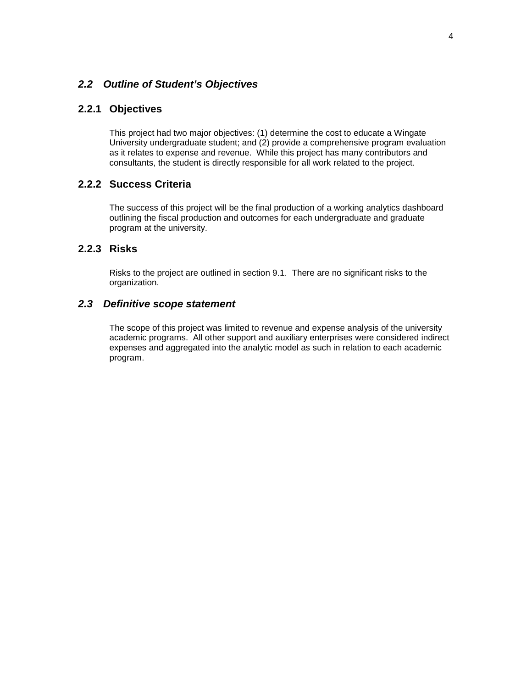#### <span id="page-8-0"></span>*2.2 Outline of Student's Objectives*

### <span id="page-8-1"></span>**2.2.1 Objectives**

This project had two major objectives: (1) determine the cost to educate a Wingate University undergraduate student; and (2) provide a comprehensive program evaluation as it relates to expense and revenue. While this project has many contributors and consultants, the student is directly responsible for all work related to the project.

#### <span id="page-8-2"></span>**2.2.2 Success Criteria**

The success of this project will be the final production of a working analytics dashboard outlining the fiscal production and outcomes for each undergraduate and graduate program at the university.

#### <span id="page-8-3"></span>**2.2.3 Risks**

Risks to the project are outlined in section 9.1. There are no significant risks to the organization.

#### <span id="page-8-4"></span>*2.3 Definitive scope statement*

The scope of this project was limited to revenue and expense analysis of the university academic programs. All other support and auxiliary enterprises were considered indirect expenses and aggregated into the analytic model as such in relation to each academic program.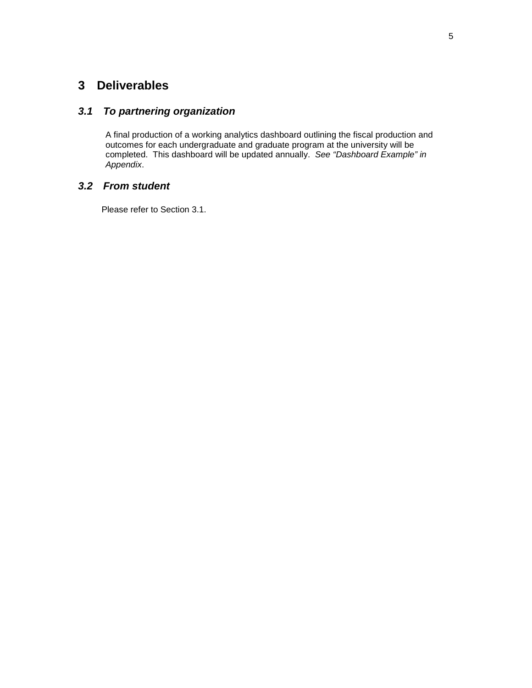# <span id="page-9-0"></span>**3 Deliverables**

### <span id="page-9-1"></span>*3.1 To partnering organization*

A final production of a working analytics dashboard outlining the fiscal production and outcomes for each undergraduate and graduate program at the university will be completed. This dashboard will be updated annually. *See "Dashboard Example" in Appendix*.

#### <span id="page-9-2"></span>*3.2 From student*

Please refer to Section 3.1.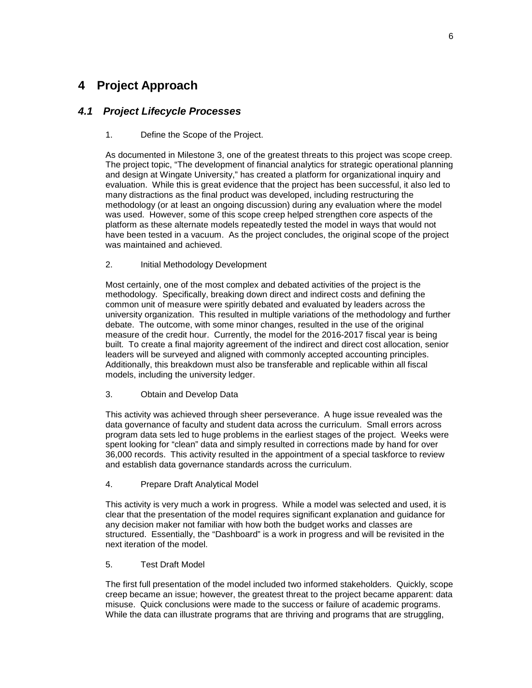# <span id="page-10-0"></span>**4 Project Approach**

### <span id="page-10-1"></span>*4.1 Project Lifecycle Processes*

#### 1. Define the Scope of the Project.

As documented in Milestone 3, one of the greatest threats to this project was scope creep. The project topic, "The development of financial analytics for strategic operational planning and design at Wingate University," has created a platform for organizational inquiry and evaluation. While this is great evidence that the project has been successful, it also led to many distractions as the final product was developed, including restructuring the methodology (or at least an ongoing discussion) during any evaluation where the model was used. However, some of this scope creep helped strengthen core aspects of the platform as these alternate models repeatedly tested the model in ways that would not have been tested in a vacuum. As the project concludes, the original scope of the project was maintained and achieved.

#### 2. Initial Methodology Development

Most certainly, one of the most complex and debated activities of the project is the methodology. Specifically, breaking down direct and indirect costs and defining the common unit of measure were spiritly debated and evaluated by leaders across the university organization. This resulted in multiple variations of the methodology and further debate. The outcome, with some minor changes, resulted in the use of the original measure of the credit hour. Currently, the model for the 2016-2017 fiscal year is being built. To create a final majority agreement of the indirect and direct cost allocation, senior leaders will be surveyed and aligned with commonly accepted accounting principles. Additionally, this breakdown must also be transferable and replicable within all fiscal models, including the university ledger.

#### 3. Obtain and Develop Data

This activity was achieved through sheer perseverance. A huge issue revealed was the data governance of faculty and student data across the curriculum. Small errors across program data sets led to huge problems in the earliest stages of the project. Weeks were spent looking for "clean" data and simply resulted in corrections made by hand for over 36,000 records. This activity resulted in the appointment of a special taskforce to review and establish data governance standards across the curriculum.

4. Prepare Draft Analytical Model

This activity is very much a work in progress. While a model was selected and used, it is clear that the presentation of the model requires significant explanation and guidance for any decision maker not familiar with how both the budget works and classes are structured. Essentially, the "Dashboard" is a work in progress and will be revisited in the next iteration of the model.

#### 5. Test Draft Model

The first full presentation of the model included two informed stakeholders. Quickly, scope creep became an issue; however, the greatest threat to the project became apparent: data misuse. Quick conclusions were made to the success or failure of academic programs. While the data can illustrate programs that are thriving and programs that are struggling,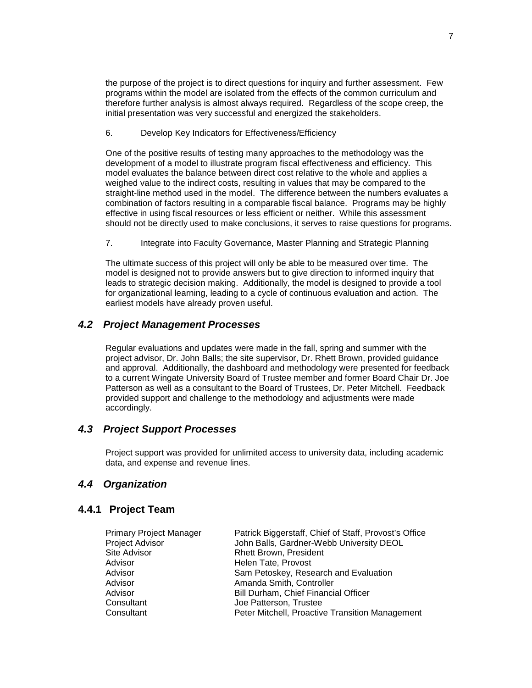the purpose of the project is to direct questions for inquiry and further assessment. Few programs within the model are isolated from the effects of the common curriculum and therefore further analysis is almost always required. Regardless of the scope creep, the initial presentation was very successful and energized the stakeholders.

6. Develop Key Indicators for Effectiveness/Efficiency

One of the positive results of testing many approaches to the methodology was the development of a model to illustrate program fiscal effectiveness and efficiency. This model evaluates the balance between direct cost relative to the whole and applies a weighed value to the indirect costs, resulting in values that may be compared to the straight-line method used in the model. The difference between the numbers evaluates a combination of factors resulting in a comparable fiscal balance. Programs may be highly effective in using fiscal resources or less efficient or neither. While this assessment should not be directly used to make conclusions, it serves to raise questions for programs.

7. Integrate into Faculty Governance, Master Planning and Strategic Planning

The ultimate success of this project will only be able to be measured over time. The model is designed not to provide answers but to give direction to informed inquiry that leads to strategic decision making. Additionally, the model is designed to provide a tool for organizational learning, leading to a cycle of continuous evaluation and action. The earliest models have already proven useful.

#### <span id="page-11-0"></span>*4.2 Project Management Processes*

Regular evaluations and updates were made in the fall, spring and summer with the project advisor, Dr. John Balls; the site supervisor, Dr. Rhett Brown, provided guidance and approval. Additionally, the dashboard and methodology were presented for feedback to a current Wingate University Board of Trustee member and former Board Chair Dr. Joe Patterson as well as a consultant to the Board of Trustees, Dr. Peter Mitchell. Feedback provided support and challenge to the methodology and adjustments were made accordingly.

#### <span id="page-11-1"></span>*4.3 Project Support Processes*

Project support was provided for unlimited access to university data, including academic data, and expense and revenue lines.

#### <span id="page-11-3"></span><span id="page-11-2"></span>*4.4 Organization*

#### **4.4.1 Project Team**

| <b>Primary Project Manager</b> | Patrick Biggerstaff, Chief of Staff, Provost's Office |
|--------------------------------|-------------------------------------------------------|
| Project Advisor                | John Balls, Gardner-Webb University DEOL              |
| Site Advisor                   | <b>Rhett Brown, President</b>                         |
| Advisor                        | Helen Tate, Provost                                   |
| Advisor                        | Sam Petoskey, Research and Evaluation                 |
| Advisor                        | Amanda Smith, Controller                              |
| Advisor                        | Bill Durham, Chief Financial Officer                  |
| Consultant                     | Joe Patterson, Trustee                                |
| Consultant                     | Peter Mitchell, Proactive Transition Management       |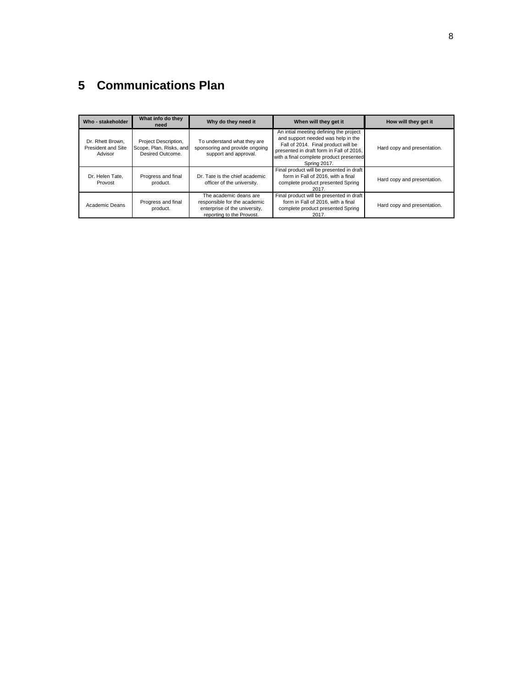# <span id="page-12-0"></span>**5 Communications Plan**

| Who - stakeholder                                                                                                               | What info do they<br>need      | Why do they need it                                                                                                  | When will they get it                                                                                                                                                                                                             | How will they get it        |
|---------------------------------------------------------------------------------------------------------------------------------|--------------------------------|----------------------------------------------------------------------------------------------------------------------|-----------------------------------------------------------------------------------------------------------------------------------------------------------------------------------------------------------------------------------|-----------------------------|
| Dr. Rhett Brown.<br>Project Description,<br>Scope, Plan, Risks, and<br><b>President and Site</b><br>Desired Outcome.<br>Advisor |                                | To understand what they are<br>sponsoring and provide ongoing<br>support and approval.                               | An intial meeting defining the project<br>and support needed was help in the<br>Fall of 2014. Final product will be<br>presented in draft form in Fall of 2016.<br>with a final complete product presented<br><b>Spring 2017.</b> | Hard copy and presentation. |
| Progress and final<br>Dr. Helen Tate.<br>product.<br>Provost                                                                    |                                | Dr. Tate is the chief academic<br>officer of the university.                                                         | Final product will be presented in draft<br>form in Fall of 2016, with a final<br>complete product presented Spring<br>2017.                                                                                                      | Hard copy and presentation. |
| Academic Deans                                                                                                                  | Progress and final<br>product. | The academic deans are<br>responsible for the academic<br>enterprise of the university,<br>reporting to the Provost. | Final product will be presented in draft<br>form in Fall of 2016, with a final<br>complete product presented Spring<br>2017.                                                                                                      | Hard copy and presentation. |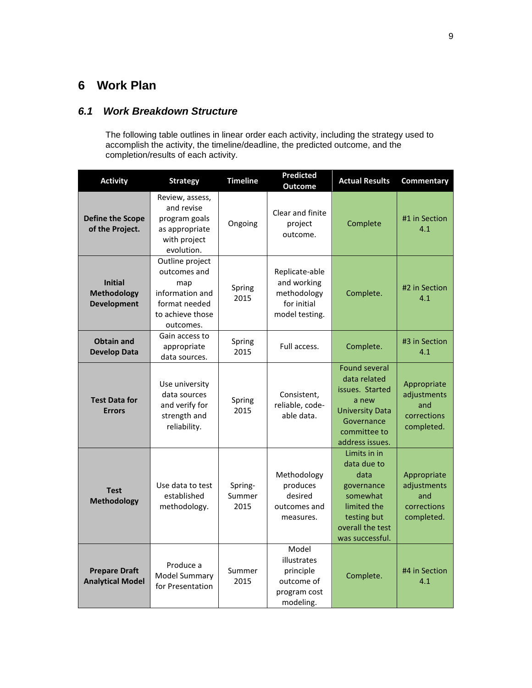# <span id="page-13-0"></span>**6 Work Plan**

# <span id="page-13-1"></span>*6.1 Work Breakdown Structure*

The following table outlines in linear order each activity, including the strategy used to accomplish the activity, the timeline/deadline, the predicted outcome, and the completion/results of each activity.

| <b>Activity</b>                                            | <b>Strategy</b>                                                                                             | <b>Timeline</b>           | <b>Predicted</b><br><b>Outcome</b>                                            | <b>Actual Results</b>                                                                                                                       | Commentary                                                     |
|------------------------------------------------------------|-------------------------------------------------------------------------------------------------------------|---------------------------|-------------------------------------------------------------------------------|---------------------------------------------------------------------------------------------------------------------------------------------|----------------------------------------------------------------|
| <b>Define the Scope</b><br>of the Project.                 | Review, assess,<br>and revise<br>program goals<br>as appropriate<br>with project<br>evolution.              | Ongoing                   | Clear and finite<br>project<br>outcome.                                       | Complete                                                                                                                                    | #1 in Section<br>4.1                                           |
| <b>Initial</b><br><b>Methodology</b><br><b>Development</b> | Outline project<br>outcomes and<br>map<br>information and<br>format needed<br>to achieve those<br>outcomes. | Spring<br>2015            | Replicate-able<br>and working<br>methodology<br>for initial<br>model testing. | Complete.                                                                                                                                   | #2 in Section<br>4.1                                           |
| <b>Obtain and</b><br><b>Develop Data</b>                   | Gain access to<br>appropriate<br>data sources.                                                              | Spring<br>2015            | Full access.                                                                  | Complete.                                                                                                                                   | #3 in Section<br>4.1                                           |
| <b>Test Data for</b><br><b>Errors</b>                      | Use university<br>data sources<br>and verify for<br>strength and<br>reliability.                            | Spring<br>2015            | Consistent,<br>reliable, code-<br>able data.                                  | <b>Found several</b><br>data related<br>issues. Started<br>a new<br><b>University Data</b><br>Governance<br>committee to<br>address issues. | Appropriate<br>adjustments<br>and<br>corrections<br>completed. |
| <b>Test</b><br><b>Methodology</b>                          | Use data to test<br>established<br>methodology.                                                             | Spring-<br>Summer<br>2015 | Methodology<br>produces<br>desired<br>outcomes and<br>measures.               | Limits in in<br>data due to<br>data<br>governance<br>somewhat<br>limited the<br>testing but<br>overall the test<br>was successful.          | Appropriate<br>adjustments<br>and<br>corrections<br>completed. |
| <b>Prepare Draft</b><br><b>Analytical Model</b>            | Produce a<br><b>Model Summary</b><br>for Presentation                                                       | Summer<br>2015            | Model<br>illustrates<br>principle<br>outcome of<br>program cost<br>modeling.  | Complete.                                                                                                                                   | #4 in Section<br>4.1                                           |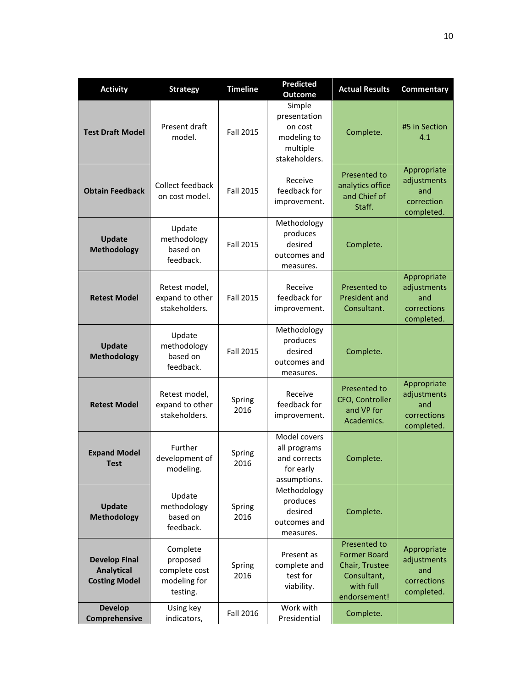| <b>Activity</b>                                                   | <b>Strategy</b>                                                   | <b>Timeline</b>  | <b>Predicted</b><br><b>Outcome</b>                                            | <b>Actual Results</b>                                                                             | Commentary                                                     |
|-------------------------------------------------------------------|-------------------------------------------------------------------|------------------|-------------------------------------------------------------------------------|---------------------------------------------------------------------------------------------------|----------------------------------------------------------------|
| <b>Test Draft Model</b>                                           | Present draft<br>model.                                           | <b>Fall 2015</b> | Simple<br>presentation<br>on cost<br>modeling to<br>multiple<br>stakeholders. | Complete.                                                                                         | #5 in Section<br>4.1                                           |
| <b>Obtain Feedback</b>                                            | Collect feedback<br>on cost model.                                | <b>Fall 2015</b> | Receive<br>feedback for<br>improvement.                                       | Presented to<br>analytics office<br>and Chief of<br>Staff.                                        | Appropriate<br>adjustments<br>and<br>correction<br>completed.  |
| Update<br><b>Methodology</b>                                      | Update<br>methodology<br>based on<br>feedback.                    | <b>Fall 2015</b> | Methodology<br>produces<br>desired<br>outcomes and<br>measures.               | Complete.                                                                                         |                                                                |
| <b>Retest Model</b>                                               | Retest model,<br>expand to other<br>stakeholders.                 | <b>Fall 2015</b> | Receive<br>feedback for<br>improvement.                                       | <b>Presented to</b><br><b>President and</b><br>Consultant.                                        | Appropriate<br>adjustments<br>and<br>corrections<br>completed. |
| <b>Update</b><br><b>Methodology</b>                               | Update<br>methodology<br>based on<br>feedback.                    | <b>Fall 2015</b> | Methodology<br>produces<br>desired<br>outcomes and<br>measures.               | Complete.                                                                                         |                                                                |
| <b>Retest Model</b>                                               | Retest model,<br>expand to other<br>stakeholders.                 | Spring<br>2016   | Receive<br>feedback for<br>improvement.                                       | Presented to<br>CFO, Controller<br>and VP for<br>Academics.                                       | Appropriate<br>adjustments<br>and<br>corrections<br>completed. |
| <b>Expand Model</b><br>Test                                       | Further<br>development of<br>modeling.                            | Spring<br>2016   | Model covers<br>all programs<br>and corrects<br>for early<br>assumptions.     | Complete.                                                                                         |                                                                |
| <b>Update</b><br><b>Methodology</b>                               | Update<br>methodology<br>based on<br>feedback.                    | Spring<br>2016   | Methodology<br>produces<br>desired<br>outcomes and<br>measures.               | Complete.                                                                                         |                                                                |
| <b>Develop Final</b><br><b>Analytical</b><br><b>Costing Model</b> | Complete<br>proposed<br>complete cost<br>modeling for<br>testing. | Spring<br>2016   | Present as<br>complete and<br>test for<br>viability.                          | Presented to<br><b>Former Board</b><br>Chair, Trustee<br>Consultant,<br>with full<br>endorsement! | Appropriate<br>adjustments<br>and<br>corrections<br>completed. |
| <b>Develop</b><br>Comprehensive                                   | Using key<br>indicators,                                          | Fall 2016        | Work with<br>Presidential                                                     | Complete.                                                                                         |                                                                |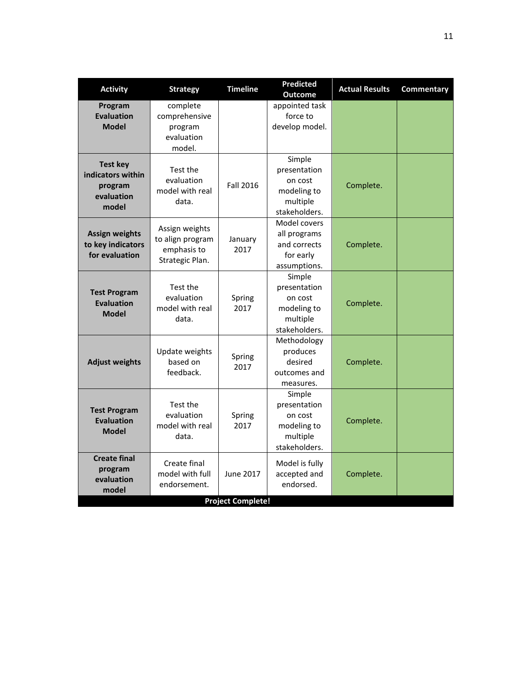| <b>Activity</b>                                                        | <b>Strategy</b>                                                      | <b>Timeline</b>  | <b>Predicted</b><br><b>Outcome</b>                                            | <b>Actual Results</b> | <b>Commentary</b> |  |
|------------------------------------------------------------------------|----------------------------------------------------------------------|------------------|-------------------------------------------------------------------------------|-----------------------|-------------------|--|
| Program<br><b>Evaluation</b><br><b>Model</b>                           | complete<br>comprehensive<br>program<br>evaluation<br>model.         |                  | appointed task<br>force to<br>develop model.                                  |                       |                   |  |
| <b>Test key</b><br>indicators within<br>program<br>evaluation<br>model | Test the<br>evaluation<br>model with real<br>data.                   | <b>Fall 2016</b> | Simple<br>presentation<br>on cost<br>modeling to<br>multiple<br>stakeholders. | Complete.             |                   |  |
| <b>Assign weights</b><br>to key indicators<br>for evaluation           | Assign weights<br>to align program<br>emphasis to<br>Strategic Plan. | January<br>2017  | Model covers<br>all programs<br>and corrects<br>for early<br>assumptions.     | Complete.             |                   |  |
| <b>Test Program</b><br><b>Evaluation</b><br><b>Model</b>               | Test the<br>evaluation<br>model with real<br>data.                   | Spring<br>2017   | Simple<br>presentation<br>on cost<br>modeling to<br>multiple<br>stakeholders. | Complete.             |                   |  |
| <b>Adjust weights</b>                                                  | Update weights<br>based on<br>feedback.                              | Spring<br>2017   | Methodology<br>produces<br>desired<br>outcomes and<br>measures.               | Complete.             |                   |  |
| <b>Test Program</b><br><b>Evaluation</b><br><b>Model</b>               | Test the<br>evaluation<br>model with real<br>data.                   | Spring<br>2017   | Simple<br>presentation<br>on cost<br>modeling to<br>multiple<br>stakeholders. | Complete.             |                   |  |
| <b>Create final</b><br>program<br>evaluation<br>model                  | Create final<br>model with full<br>endorsement.                      | June 2017        | Model is fully<br>accepted and<br>endorsed.                                   | Complete.             |                   |  |
|                                                                        | <b>Project Complete!</b>                                             |                  |                                                                               |                       |                   |  |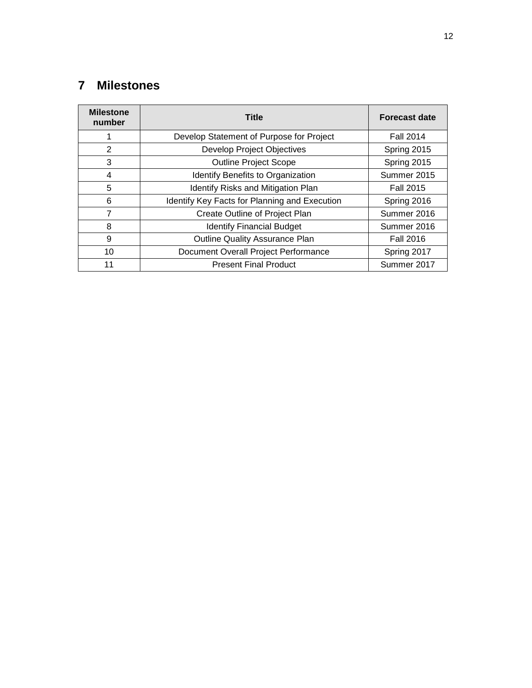# <span id="page-16-0"></span>**Milestones**

| <b>Milestone</b><br>number | <b>Title</b>                                  | <b>Forecast date</b> |
|----------------------------|-----------------------------------------------|----------------------|
| 1                          | Develop Statement of Purpose for Project      | <b>Fall 2014</b>     |
| 2                          | <b>Develop Project Objectives</b>             | Spring 2015          |
| 3                          | <b>Outline Project Scope</b>                  | Spring 2015          |
| 4                          | Identify Benefits to Organization             | Summer 2015          |
| 5                          | <b>Identify Risks and Mitigation Plan</b>     | <b>Fall 2015</b>     |
| 6                          | Identify Key Facts for Planning and Execution | Spring 2016          |
| $\overline{7}$             | Create Outline of Project Plan                | Summer 2016          |
| 8                          | <b>Identify Financial Budget</b>              | Summer 2016          |
| 9                          | <b>Outline Quality Assurance Plan</b>         | <b>Fall 2016</b>     |
| 10                         | Document Overall Project Performance          | Spring 2017          |
| 11                         | <b>Present Final Product</b>                  | Summer 2017          |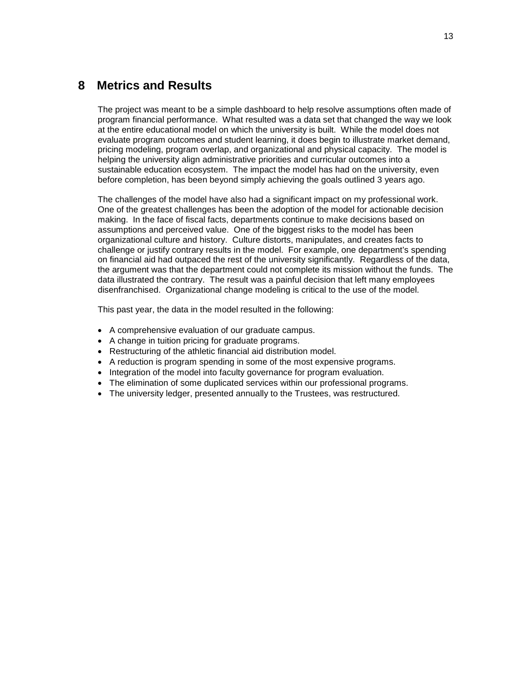# <span id="page-17-0"></span>**8 Metrics and Results**

The project was meant to be a simple dashboard to help resolve assumptions often made of program financial performance. What resulted was a data set that changed the way we look at the entire educational model on which the university is built. While the model does not evaluate program outcomes and student learning, it does begin to illustrate market demand, pricing modeling, program overlap, and organizational and physical capacity. The model is helping the university align administrative priorities and curricular outcomes into a sustainable education ecosystem. The impact the model has had on the university, even before completion, has been beyond simply achieving the goals outlined 3 years ago.

The challenges of the model have also had a significant impact on my professional work. One of the greatest challenges has been the adoption of the model for actionable decision making. In the face of fiscal facts, departments continue to make decisions based on assumptions and perceived value. One of the biggest risks to the model has been organizational culture and history. Culture distorts, manipulates, and creates facts to challenge or justify contrary results in the model. For example, one department's spending on financial aid had outpaced the rest of the university significantly. Regardless of the data, the argument was that the department could not complete its mission without the funds. The data illustrated the contrary. The result was a painful decision that left many employees disenfranchised. Organizational change modeling is critical to the use of the model.

This past year, the data in the model resulted in the following:

- A comprehensive evaluation of our graduate campus.
- A change in tuition pricing for graduate programs.
- Restructuring of the athletic financial aid distribution model.
- A reduction is program spending in some of the most expensive programs.
- Integration of the model into faculty governance for program evaluation.
- The elimination of some duplicated services within our professional programs.
- The university ledger, presented annually to the Trustees, was restructured.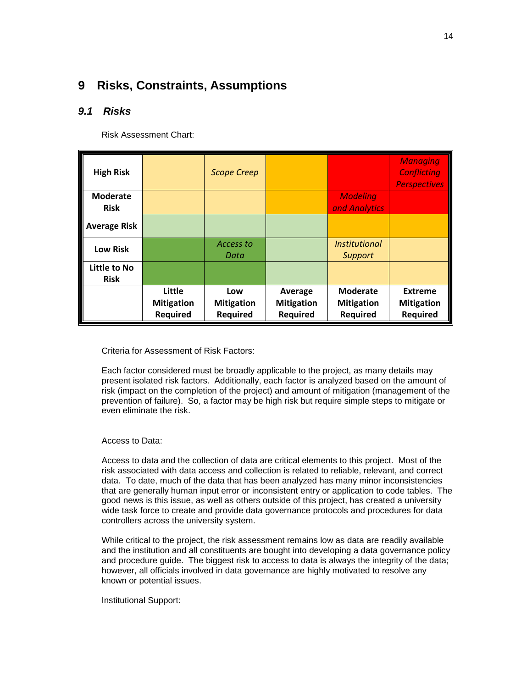# <span id="page-18-0"></span>**9 Risks, Constraints, Assumptions**

### <span id="page-18-1"></span>*9.1 Risks*

Risk Assessment Chart:

| <b>High Risk</b>               |                                                | <b>Scope Creep</b>                          |                                                 |                                                         | <b>Managing</b><br><b>Conflicting</b><br><b>Perspectives</b> |
|--------------------------------|------------------------------------------------|---------------------------------------------|-------------------------------------------------|---------------------------------------------------------|--------------------------------------------------------------|
| <b>Moderate</b><br><b>Risk</b> |                                                |                                             |                                                 | <b>Modeling</b><br>and Analytics                        |                                                              |
| <b>Average Risk</b>            |                                                |                                             |                                                 |                                                         |                                                              |
| <b>Low Risk</b>                |                                                | Access to<br>Data                           |                                                 | <i>Institutional</i><br><b>Support</b>                  |                                                              |
| Little to No<br><b>Risk</b>    |                                                |                                             |                                                 |                                                         |                                                              |
|                                | Little<br><b>Mitigation</b><br><b>Required</b> | Low<br><b>Mitigation</b><br><b>Required</b> | Average<br><b>Mitigation</b><br><b>Required</b> | <b>Moderate</b><br><b>Mitigation</b><br><b>Required</b> | <b>Extreme</b><br><b>Mitigation</b><br><b>Required</b>       |

Criteria for Assessment of Risk Factors:

Each factor considered must be broadly applicable to the project, as many details may present isolated risk factors. Additionally, each factor is analyzed based on the amount of risk (impact on the completion of the project) and amount of mitigation (management of the prevention of failure). So, a factor may be high risk but require simple steps to mitigate or even eliminate the risk.

#### Access to Data:

Access to data and the collection of data are critical elements to this project. Most of the risk associated with data access and collection is related to reliable, relevant, and correct data. To date, much of the data that has been analyzed has many minor inconsistencies that are generally human input error or inconsistent entry or application to code tables. The good news is this issue, as well as others outside of this project, has created a university wide task force to create and provide data governance protocols and procedures for data controllers across the university system.

While critical to the project, the risk assessment remains low as data are readily available and the institution and all constituents are bought into developing a data governance policy and procedure guide. The biggest risk to access to data is always the integrity of the data; however, all officials involved in data governance are highly motivated to resolve any known or potential issues.

Institutional Support: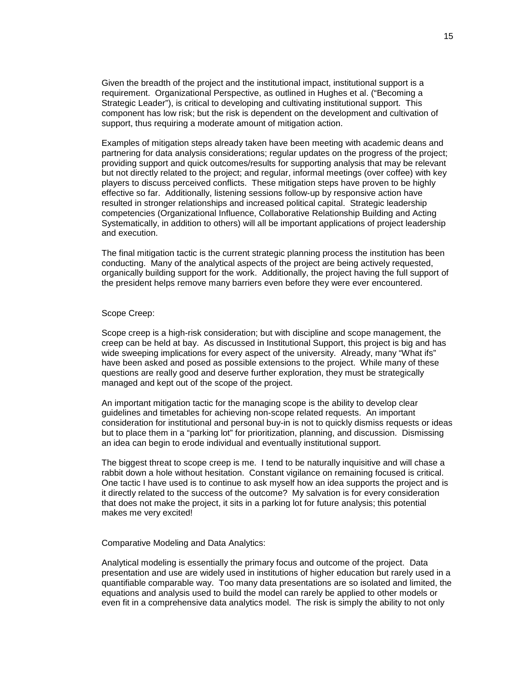Given the breadth of the project and the institutional impact, institutional support is a requirement. Organizational Perspective, as outlined in Hughes et al. ("Becoming a Strategic Leader"), is critical to developing and cultivating institutional support. This component has low risk; but the risk is dependent on the development and cultivation of support, thus requiring a moderate amount of mitigation action.

Examples of mitigation steps already taken have been meeting with academic deans and partnering for data analysis considerations; regular updates on the progress of the project; providing support and quick outcomes/results for supporting analysis that may be relevant but not directly related to the project; and regular, informal meetings (over coffee) with key players to discuss perceived conflicts. These mitigation steps have proven to be highly effective so far. Additionally, listening sessions follow-up by responsive action have resulted in stronger relationships and increased political capital. Strategic leadership competencies (Organizational Influence, Collaborative Relationship Building and Acting Systematically, in addition to others) will all be important applications of project leadership and execution.

The final mitigation tactic is the current strategic planning process the institution has been conducting. Many of the analytical aspects of the project are being actively requested, organically building support for the work. Additionally, the project having the full support of the president helps remove many barriers even before they were ever encountered.

#### Scope Creep:

Scope creep is a high-risk consideration; but with discipline and scope management, the creep can be held at bay. As discussed in Institutional Support, this project is big and has wide sweeping implications for every aspect of the university. Already, many "What ifs" have been asked and posed as possible extensions to the project. While many of these questions are really good and deserve further exploration, they must be strategically managed and kept out of the scope of the project.

An important mitigation tactic for the managing scope is the ability to develop clear guidelines and timetables for achieving non-scope related requests. An important consideration for institutional and personal buy-in is not to quickly dismiss requests or ideas but to place them in a "parking lot" for prioritization, planning, and discussion. Dismissing an idea can begin to erode individual and eventually institutional support.

The biggest threat to scope creep is me. I tend to be naturally inquisitive and will chase a rabbit down a hole without hesitation. Constant vigilance on remaining focused is critical. One tactic I have used is to continue to ask myself how an idea supports the project and is it directly related to the success of the outcome? My salvation is for every consideration that does not make the project, it sits in a parking lot for future analysis; this potential makes me very excited!

#### Comparative Modeling and Data Analytics:

Analytical modeling is essentially the primary focus and outcome of the project. Data presentation and use are widely used in institutions of higher education but rarely used in a quantifiable comparable way. Too many data presentations are so isolated and limited, the equations and analysis used to build the model can rarely be applied to other models or even fit in a comprehensive data analytics model. The risk is simply the ability to not only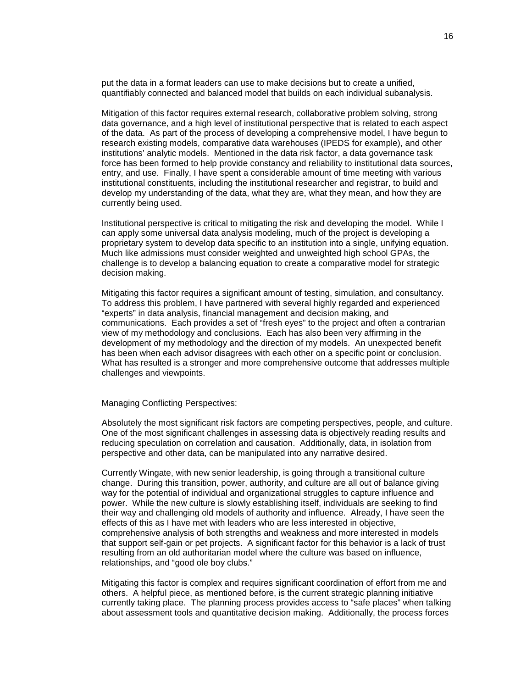put the data in a format leaders can use to make decisions but to create a unified, quantifiably connected and balanced model that builds on each individual subanalysis.

Mitigation of this factor requires external research, collaborative problem solving, strong data governance, and a high level of institutional perspective that is related to each aspect of the data. As part of the process of developing a comprehensive model, I have begun to research existing models, comparative data warehouses (IPEDS for example), and other institutions' analytic models. Mentioned in the data risk factor, a data governance task force has been formed to help provide constancy and reliability to institutional data sources, entry, and use. Finally, I have spent a considerable amount of time meeting with various institutional constituents, including the institutional researcher and registrar, to build and develop my understanding of the data, what they are, what they mean, and how they are currently being used.

Institutional perspective is critical to mitigating the risk and developing the model. While I can apply some universal data analysis modeling, much of the project is developing a proprietary system to develop data specific to an institution into a single, unifying equation. Much like admissions must consider weighted and unweighted high school GPAs, the challenge is to develop a balancing equation to create a comparative model for strategic decision making.

Mitigating this factor requires a significant amount of testing, simulation, and consultancy. To address this problem, I have partnered with several highly regarded and experienced "experts" in data analysis, financial management and decision making, and communications. Each provides a set of "fresh eyes" to the project and often a contrarian view of my methodology and conclusions. Each has also been very affirming in the development of my methodology and the direction of my models. An unexpected benefit has been when each advisor disagrees with each other on a specific point or conclusion. What has resulted is a stronger and more comprehensive outcome that addresses multiple challenges and viewpoints.

#### Managing Conflicting Perspectives:

Absolutely the most significant risk factors are competing perspectives, people, and culture. One of the most significant challenges in assessing data is objectively reading results and reducing speculation on correlation and causation. Additionally, data, in isolation from perspective and other data, can be manipulated into any narrative desired.

Currently Wingate, with new senior leadership, is going through a transitional culture change. During this transition, power, authority, and culture are all out of balance giving way for the potential of individual and organizational struggles to capture influence and power. While the new culture is slowly establishing itself, individuals are seeking to find their way and challenging old models of authority and influence. Already, I have seen the effects of this as I have met with leaders who are less interested in objective, comprehensive analysis of both strengths and weakness and more interested in models that support self-gain or pet projects. A significant factor for this behavior is a lack of trust resulting from an old authoritarian model where the culture was based on influence, relationships, and "good ole boy clubs."

Mitigating this factor is complex and requires significant coordination of effort from me and others. A helpful piece, as mentioned before, is the current strategic planning initiative currently taking place. The planning process provides access to "safe places" when talking about assessment tools and quantitative decision making. Additionally, the process forces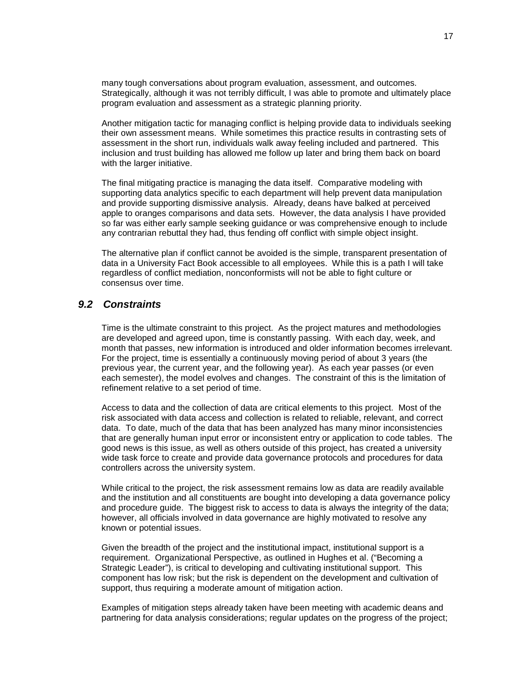many tough conversations about program evaluation, assessment, and outcomes. Strategically, although it was not terribly difficult, I was able to promote and ultimately place program evaluation and assessment as a strategic planning priority.

Another mitigation tactic for managing conflict is helping provide data to individuals seeking their own assessment means. While sometimes this practice results in contrasting sets of assessment in the short run, individuals walk away feeling included and partnered. This inclusion and trust building has allowed me follow up later and bring them back on board with the larger initiative.

The final mitigating practice is managing the data itself. Comparative modeling with supporting data analytics specific to each department will help prevent data manipulation and provide supporting dismissive analysis. Already, deans have balked at perceived apple to oranges comparisons and data sets. However, the data analysis I have provided so far was either early sample seeking guidance or was comprehensive enough to include any contrarian rebuttal they had, thus fending off conflict with simple object insight.

The alternative plan if conflict cannot be avoided is the simple, transparent presentation of data in a University Fact Book accessible to all employees. While this is a path I will take regardless of conflict mediation, nonconformists will not be able to fight culture or consensus over time.

#### <span id="page-21-0"></span>*9.2 Constraints*

Time is the ultimate constraint to this project. As the project matures and methodologies are developed and agreed upon, time is constantly passing. With each day, week, and month that passes, new information is introduced and older information becomes irrelevant. For the project, time is essentially a continuously moving period of about 3 years (the previous year, the current year, and the following year). As each year passes (or even each semester), the model evolves and changes. The constraint of this is the limitation of refinement relative to a set period of time.

Access to data and the collection of data are critical elements to this project. Most of the risk associated with data access and collection is related to reliable, relevant, and correct data. To date, much of the data that has been analyzed has many minor inconsistencies that are generally human input error or inconsistent entry or application to code tables. The good news is this issue, as well as others outside of this project, has created a university wide task force to create and provide data governance protocols and procedures for data controllers across the university system.

While critical to the project, the risk assessment remains low as data are readily available and the institution and all constituents are bought into developing a data governance policy and procedure guide. The biggest risk to access to data is always the integrity of the data; however, all officials involved in data governance are highly motivated to resolve any known or potential issues.

Given the breadth of the project and the institutional impact, institutional support is a requirement. Organizational Perspective, as outlined in Hughes et al. ("Becoming a Strategic Leader"), is critical to developing and cultivating institutional support. This component has low risk; but the risk is dependent on the development and cultivation of support, thus requiring a moderate amount of mitigation action.

Examples of mitigation steps already taken have been meeting with academic deans and partnering for data analysis considerations; regular updates on the progress of the project;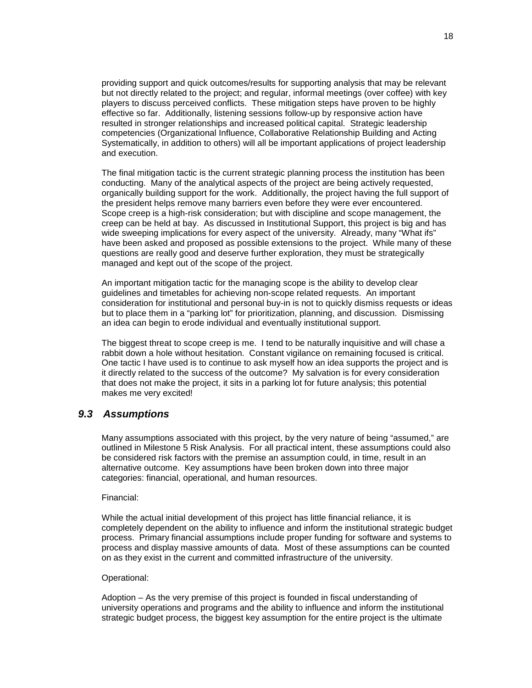providing support and quick outcomes/results for supporting analysis that may be relevant but not directly related to the project; and regular, informal meetings (over coffee) with key players to discuss perceived conflicts. These mitigation steps have proven to be highly effective so far. Additionally, listening sessions follow-up by responsive action have resulted in stronger relationships and increased political capital. Strategic leadership competencies (Organizational Influence, Collaborative Relationship Building and Acting Systematically, in addition to others) will all be important applications of project leadership and execution.

The final mitigation tactic is the current strategic planning process the institution has been conducting. Many of the analytical aspects of the project are being actively requested, organically building support for the work. Additionally, the project having the full support of the president helps remove many barriers even before they were ever encountered. Scope creep is a high-risk consideration; but with discipline and scope management, the creep can be held at bay. As discussed in Institutional Support, this project is big and has wide sweeping implications for every aspect of the university. Already, many "What ifs" have been asked and proposed as possible extensions to the project. While many of these questions are really good and deserve further exploration, they must be strategically managed and kept out of the scope of the project.

An important mitigation tactic for the managing scope is the ability to develop clear guidelines and timetables for achieving non-scope related requests. An important consideration for institutional and personal buy-in is not to quickly dismiss requests or ideas but to place them in a "parking lot" for prioritization, planning, and discussion. Dismissing an idea can begin to erode individual and eventually institutional support.

The biggest threat to scope creep is me. I tend to be naturally inquisitive and will chase a rabbit down a hole without hesitation. Constant vigilance on remaining focused is critical. One tactic I have used is to continue to ask myself how an idea supports the project and is it directly related to the success of the outcome? My salvation is for every consideration that does not make the project, it sits in a parking lot for future analysis; this potential makes me very excited!

#### <span id="page-22-0"></span>*9.3 Assumptions*

Many assumptions associated with this project, by the very nature of being "assumed," are outlined in Milestone 5 Risk Analysis. For all practical intent, these assumptions could also be considered risk factors with the premise an assumption could, in time, result in an alternative outcome. Key assumptions have been broken down into three major categories: financial, operational, and human resources.

#### Financial:

While the actual initial development of this project has little financial reliance, it is completely dependent on the ability to influence and inform the institutional strategic budget process. Primary financial assumptions include proper funding for software and systems to process and display massive amounts of data. Most of these assumptions can be counted on as they exist in the current and committed infrastructure of the university.

#### Operational:

Adoption – As the very premise of this project is founded in fiscal understanding of university operations and programs and the ability to influence and inform the institutional strategic budget process, the biggest key assumption for the entire project is the ultimate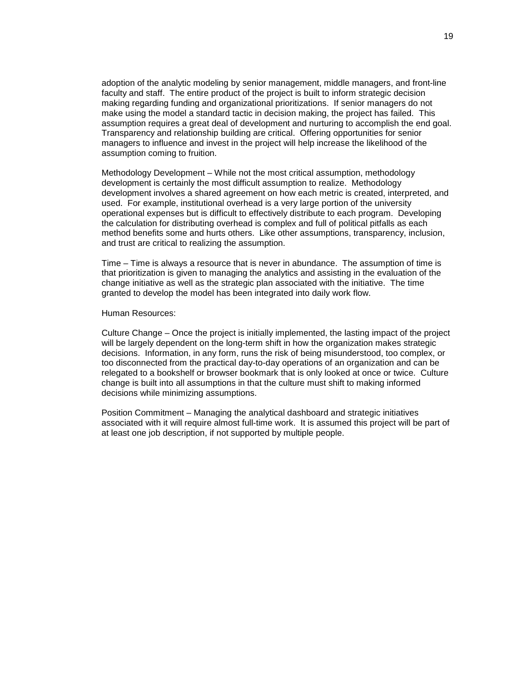adoption of the analytic modeling by senior management, middle managers, and front-line faculty and staff. The entire product of the project is built to inform strategic decision making regarding funding and organizational prioritizations. If senior managers do not make using the model a standard tactic in decision making, the project has failed. This assumption requires a great deal of development and nurturing to accomplish the end goal. Transparency and relationship building are critical. Offering opportunities for senior managers to influence and invest in the project will help increase the likelihood of the assumption coming to fruition.

Methodology Development – While not the most critical assumption, methodology development is certainly the most difficult assumption to realize. Methodology development involves a shared agreement on how each metric is created, interpreted, and used. For example, institutional overhead is a very large portion of the university operational expenses but is difficult to effectively distribute to each program. Developing the calculation for distributing overhead is complex and full of political pitfalls as each method benefits some and hurts others. Like other assumptions, transparency, inclusion, and trust are critical to realizing the assumption.

Time – Time is always a resource that is never in abundance. The assumption of time is that prioritization is given to managing the analytics and assisting in the evaluation of the change initiative as well as the strategic plan associated with the initiative. The time granted to develop the model has been integrated into daily work flow.

Human Resources:

Culture Change – Once the project is initially implemented, the lasting impact of the project will be largely dependent on the long-term shift in how the organization makes strategic decisions. Information, in any form, runs the risk of being misunderstood, too complex, or too disconnected from the practical day-to-day operations of an organization and can be relegated to a bookshelf or browser bookmark that is only looked at once or twice. Culture change is built into all assumptions in that the culture must shift to making informed decisions while minimizing assumptions.

Position Commitment – Managing the analytical dashboard and strategic initiatives associated with it will require almost full-time work. It is assumed this project will be part of at least one job description, if not supported by multiple people.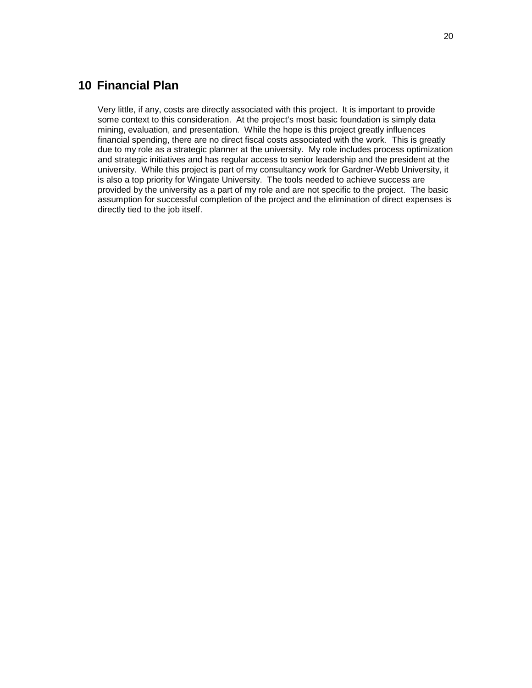# <span id="page-24-0"></span>**10 Financial Plan**

Very little, if any, costs are directly associated with this project. It is important to provide some context to this consideration. At the project's most basic foundation is simply data mining, evaluation, and presentation. While the hope is this project greatly influences financial spending, there are no direct fiscal costs associated with the work. This is greatly due to my role as a strategic planner at the university. My role includes process optimization and strategic initiatives and has regular access to senior leadership and the president at the university. While this project is part of my consultancy work for Gardner-Webb University, it is also a top priority for Wingate University. The tools needed to achieve success are provided by the university as a part of my role and are not specific to the project. The basic assumption for successful completion of the project and the elimination of direct expenses is directly tied to the job itself.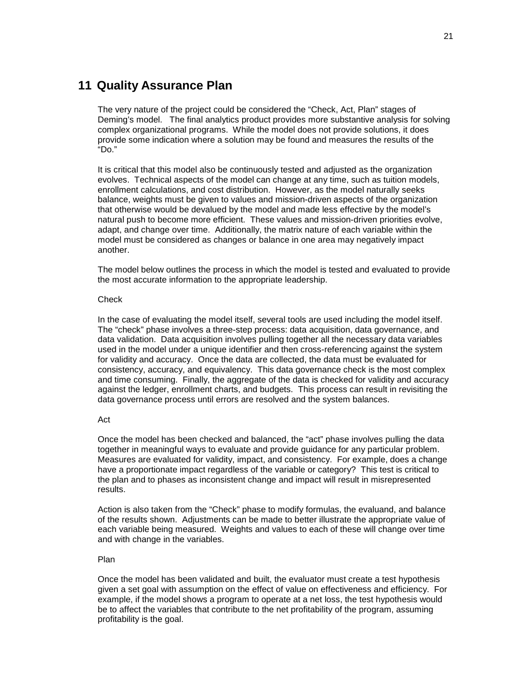# <span id="page-25-0"></span>**11 Quality Assurance Plan**

The very nature of the project could be considered the "Check, Act, Plan" stages of Deming's model. The final analytics product provides more substantive analysis for solving complex organizational programs. While the model does not provide solutions, it does provide some indication where a solution may be found and measures the results of the "Do."

It is critical that this model also be continuously tested and adjusted as the organization evolves. Technical aspects of the model can change at any time, such as tuition models, enrollment calculations, and cost distribution. However, as the model naturally seeks balance, weights must be given to values and mission-driven aspects of the organization that otherwise would be devalued by the model and made less effective by the model's natural push to become more efficient. These values and mission-driven priorities evolve, adapt, and change over time. Additionally, the matrix nature of each variable within the model must be considered as changes or balance in one area may negatively impact another.

The model below outlines the process in which the model is tested and evaluated to provide the most accurate information to the appropriate leadership.

#### **Check**

In the case of evaluating the model itself, several tools are used including the model itself. The "check" phase involves a three-step process: data acquisition, data governance, and data validation. Data acquisition involves pulling together all the necessary data variables used in the model under a unique identifier and then cross-referencing against the system for validity and accuracy. Once the data are collected, the data must be evaluated for consistency, accuracy, and equivalency. This data governance check is the most complex and time consuming. Finally, the aggregate of the data is checked for validity and accuracy against the ledger, enrollment charts, and budgets. This process can result in revisiting the data governance process until errors are resolved and the system balances.

#### Act

Once the model has been checked and balanced, the "act" phase involves pulling the data together in meaningful ways to evaluate and provide guidance for any particular problem. Measures are evaluated for validity, impact, and consistency. For example, does a change have a proportionate impact regardless of the variable or category? This test is critical to the plan and to phases as inconsistent change and impact will result in misrepresented results.

Action is also taken from the "Check" phase to modify formulas, the evaluand, and balance of the results shown. Adjustments can be made to better illustrate the appropriate value of each variable being measured. Weights and values to each of these will change over time and with change in the variables.

#### Plan

Once the model has been validated and built, the evaluator must create a test hypothesis given a set goal with assumption on the effect of value on effectiveness and efficiency. For example, if the model shows a program to operate at a net loss, the test hypothesis would be to affect the variables that contribute to the net profitability of the program, assuming profitability is the goal.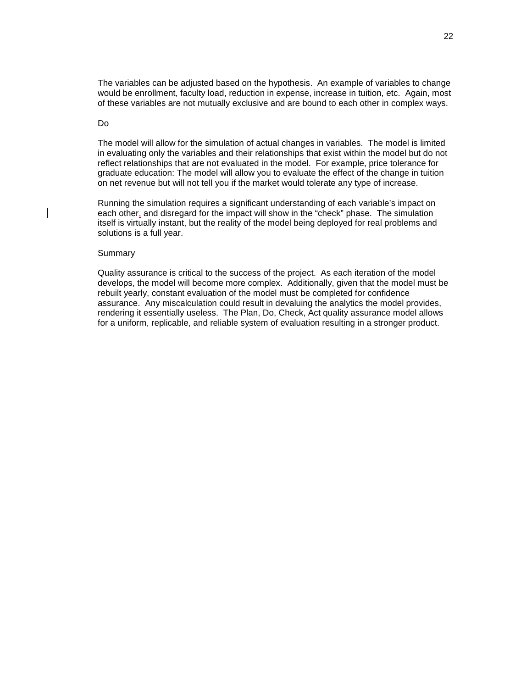The variables can be adjusted based on the hypothesis. An example of variables to change would be enrollment, faculty load, reduction in expense, increase in tuition, etc. Again, most of these variables are not mutually exclusive and are bound to each other in complex ways.

#### Do

The model will allow for the simulation of actual changes in variables. The model is limited in evaluating only the variables and their relationships that exist within the model but do not reflect relationships that are not evaluated in the model. For example, price tolerance for graduate education: The model will allow you to evaluate the effect of the change in tuition on net revenue but will not tell you if the market would tolerate any type of increase.

Running the simulation requires a significant understanding of each variable's impact on each other, and disregard for the impact will show in the "check" phase. The simulation itself is virtually instant, but the reality of the model being deployed for real problems and solutions is a full year.

#### **Summary**

Quality assurance is critical to the success of the project. As each iteration of the model develops, the model will become more complex. Additionally, given that the model must be rebuilt yearly, constant evaluation of the model must be completed for confidence assurance. Any miscalculation could result in devaluing the analytics the model provides, rendering it essentially useless. The Plan, Do, Check, Act quality assurance model allows for a uniform, replicable, and reliable system of evaluation resulting in a stronger product.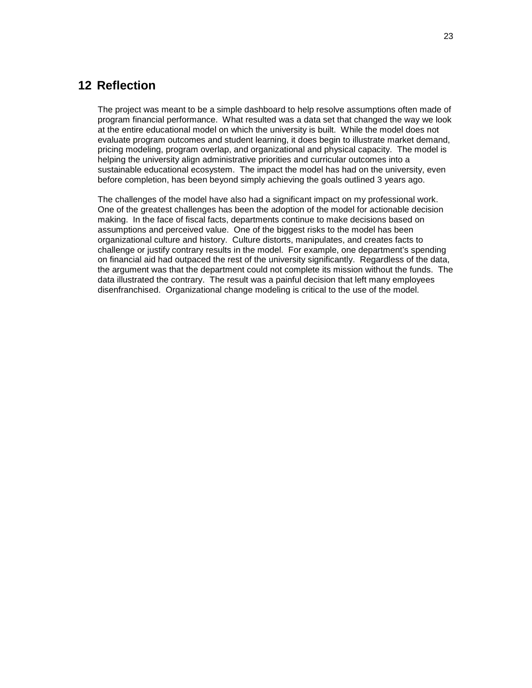# <span id="page-27-0"></span>**12 Reflection**

The project was meant to be a simple dashboard to help resolve assumptions often made of program financial performance. What resulted was a data set that changed the way we look at the entire educational model on which the university is built. While the model does not evaluate program outcomes and student learning, it does begin to illustrate market demand, pricing modeling, program overlap, and organizational and physical capacity. The model is helping the university align administrative priorities and curricular outcomes into a sustainable educational ecosystem. The impact the model has had on the university, even before completion, has been beyond simply achieving the goals outlined 3 years ago.

The challenges of the model have also had a significant impact on my professional work. One of the greatest challenges has been the adoption of the model for actionable decision making. In the face of fiscal facts, departments continue to make decisions based on assumptions and perceived value. One of the biggest risks to the model has been organizational culture and history. Culture distorts, manipulates, and creates facts to challenge or justify contrary results in the model. For example, one department's spending on financial aid had outpaced the rest of the university significantly. Regardless of the data, the argument was that the department could not complete its mission without the funds. The data illustrated the contrary. The result was a painful decision that left many employees disenfranchised. Organizational change modeling is critical to the use of the model.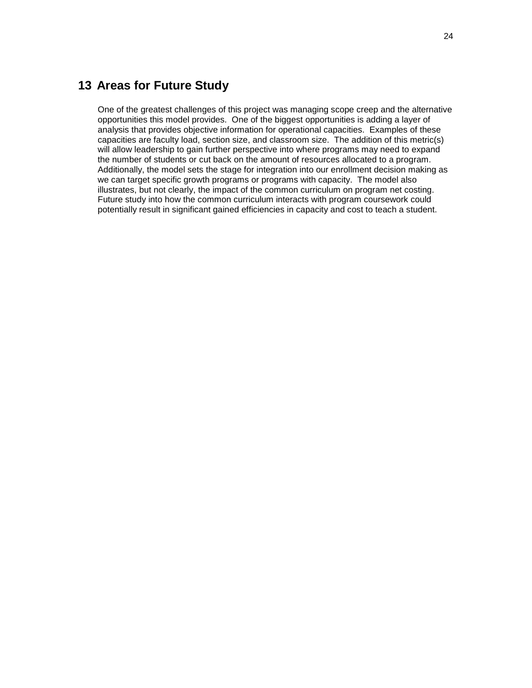# <span id="page-28-0"></span>**13 Areas for Future Study**

One of the greatest challenges of this project was managing scope creep and the alternative opportunities this model provides. One of the biggest opportunities is adding a layer of analysis that provides objective information for operational capacities. Examples of these capacities are faculty load, section size, and classroom size. The addition of this metric(s) will allow leadership to gain further perspective into where programs may need to expand the number of students or cut back on the amount of resources allocated to a program. Additionally, the model sets the stage for integration into our enrollment decision making as we can target specific growth programs or programs with capacity. The model also illustrates, but not clearly, the impact of the common curriculum on program net costing. Future study into how the common curriculum interacts with program coursework could potentially result in significant gained efficiencies in capacity and cost to teach a student.